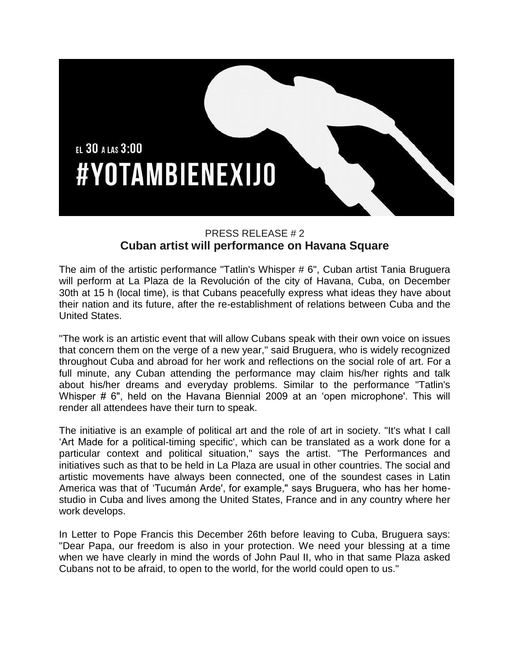

## PRESS RELEASE # 2 **Cuban artist will performance on Havana Square**

The aim of the artistic performance "Tatlin's Whisper # 6", Cuban artist Tania Bruguera will perform at La Plaza de la Revolución of the city of Havana, Cuba, on December 30th at 15 h (local time), is that Cubans peacefully express what ideas they have about their nation and its future, after the re-establishment of relations between Cuba and the United States.

"The work is an artistic event that will allow Cubans speak with their own voice on issues that concern them on the verge of a new year," said Bruguera, who is widely recognized throughout Cuba and abroad for her work and reflections on the social role of art. For a full minute, any Cuban attending the performance may claim his/her rights and talk about his/her dreams and everyday problems. Similar to the performance "Tatlin's Whisper # 6", held on the Havana Biennial 2009 at an 'open microphone'. This will render all attendees have their turn to speak.

The initiative is an example of political art and the role of art in society. "It's what I call 'Art Made for a political-timing specific', which can be translated as a work done for a particular context and political situation," says the artist. "The Performances and initiatives such as that to be held in La Plaza are usual in other countries. The social and artistic movements have always been connected, one of the soundest cases in Latin America was that of 'Tucumán Arde', for example," says Bruguera, who has her homestudio in Cuba and lives among the United States, France and in any country where her work develops.

In Letter to Pope Francis this December 26th before leaving to Cuba, Bruguera says: "Dear Papa, our freedom is also in your protection. We need your blessing at a time when we have clearly in mind the words of John Paul II, who in that same Plaza asked Cubans not to be afraid, to open to the world, for the world could open to us."